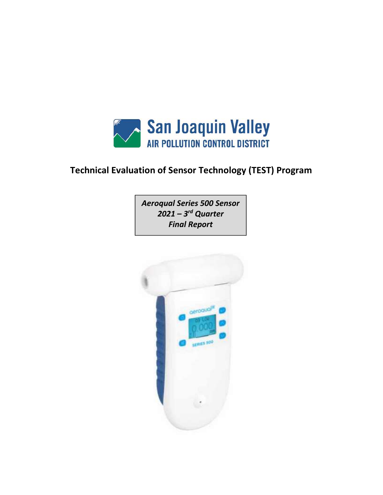

# Technical Evaluation of Sensor Technology (TEST) Program

Aeroqual Series 500 Sensor  $2021 - 3^{rd}$  Quarter Final Report

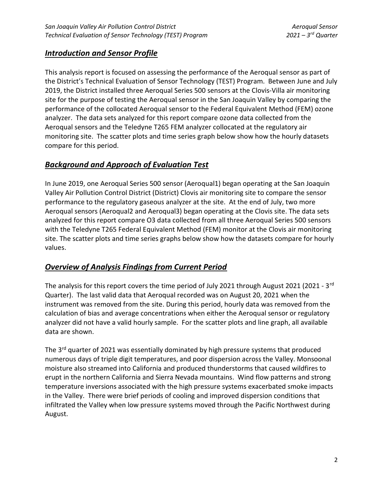#### **Introduction and Sensor Profile**

This analysis report is focused on assessing the performance of the Aeroqual sensor as part of the District's Technical Evaluation of Sensor Technology (TEST) Program. Between June and July 2019, the District installed three Aeroqual Series 500 sensors at the Clovis-Villa air monitoring site for the purpose of testing the Aeroqual sensor in the San Joaquin Valley by comparing the performance of the collocated Aeroqual sensor to the Federal Equivalent Method (FEM) ozone analyzer. The data sets analyzed for this report compare ozone data collected from the Aeroqual sensors and the Teledyne T265 FEM analyzer collocated at the regulatory air monitoring site. The scatter plots and time series graph below show how the hourly datasets compare for this period.

#### Background and Approach of Evaluation Test

In June 2019, one Aeroqual Series 500 sensor (Aeroqual1) began operating at the San Joaquin Valley Air Pollution Control District (District) Clovis air monitoring site to compare the sensor performance to the regulatory gaseous analyzer at the site. At the end of July, two more Aeroqual sensors (Aeroqual2 and Aeroqual3) began operating at the Clovis site. The data sets analyzed for this report compare O3 data collected from all three Aeroqual Series 500 sensors with the Teledyne T265 Federal Equivalent Method (FEM) monitor at the Clovis air monitoring site. The scatter plots and time series graphs below show how the datasets compare for hourly values.

### Overview of Analysis Findings from Current Period

The analysis for this report covers the time period of July 2021 through August 2021 (2021 - 3<sup>rd</sup> Quarter). The last valid data that Aeroqual recorded was on August 20, 2021 when the instrument was removed from the site. During this period, hourly data was removed from the calculation of bias and average concentrations when either the Aeroqual sensor or regulatory analyzer did not have a valid hourly sample. For the scatter plots and line graph, all available data are shown.

The 3<sup>rd</sup> quarter of 2021 was essentially dominated by high pressure systems that produced numerous days of triple digit temperatures, and poor dispersion across the Valley. Monsoonal moisture also streamed into California and produced thunderstorms that caused wildfires to erupt in the northern California and Sierra Nevada mountains. Wind flow patterns and strong temperature inversions associated with the high pressure systems exacerbated smoke impacts in the Valley. There were brief periods of cooling and improved dispersion conditions that infiltrated the Valley when low pressure systems moved through the Pacific Northwest during August.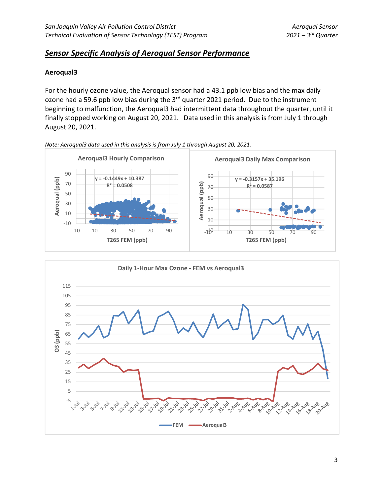#### Sensor Specific Analysis of Aeroqual Sensor Performance

#### Aeroqual3

For the hourly ozone value, the Aeroqual sensor had a 43.1 ppb low bias and the max daily ozone had a 59.6 ppb low bias during the  $3<sup>rd</sup>$  quarter 2021 period. Due to the instrument beginning to malfunction, the Aeroqual3 had intermittent data throughout the quarter, until it finally stopped working on August 20, 2021. Data used in this analysis is from July 1 through August 20, 2021.



Note: Aeroqual3 data used in this analysis is from July 1 through August 20, 2021.